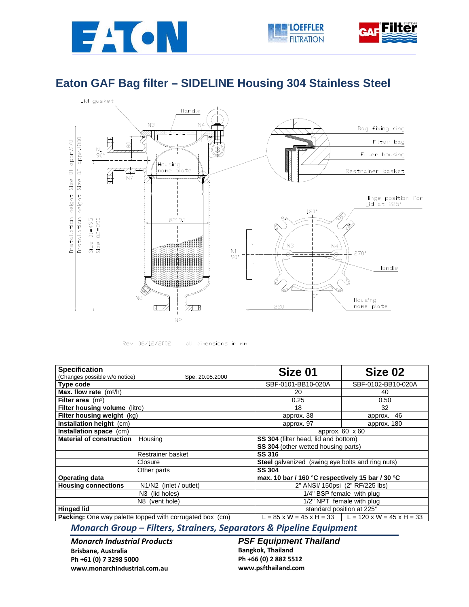







Rev. 06/12/2002

all dimensions in mm

| <b>Specification</b><br>(Changes possible w/o notice)<br>Spe. 20.05.2000 | Size 01                                                 | Size 02                                                     |
|--------------------------------------------------------------------------|---------------------------------------------------------|-------------------------------------------------------------|
| Type code                                                                | SBF-0101-BB10-020A                                      | SBF-0102-BB10-020A                                          |
| Max. flow rate $(m^3/h)$                                                 | 20                                                      | 40                                                          |
| Filter area $(m2)$                                                       | 0.25                                                    | 0.50                                                        |
| Filter housing volume (litre)                                            | 18                                                      | 32                                                          |
| Filter housing weight (kg)                                               | approx. 38                                              | approx. 46                                                  |
| Installation height (cm)                                                 | approx. 97                                              | approx. 180                                                 |
| Installation space (cm)                                                  | approx. 60 x 60                                         |                                                             |
| <b>Material of construction</b><br>Housing                               | SS 304 (filter head, lid and bottom)                    |                                                             |
|                                                                          | SS 304 (other wetted housing parts)                     |                                                             |
| Restrainer basket                                                        | <b>SS 316</b>                                           |                                                             |
| Closure                                                                  | <b>Steel</b> galvanized (swing eye bolts and ring nuts) |                                                             |
| Other parts                                                              | <b>SS 304</b>                                           |                                                             |
| <b>Operating data</b>                                                    | max. 10 bar / 160 °C respectively 15 bar / 30 °C        |                                                             |
| <b>Housing connections</b><br>N1/N2 (inlet / outlet)                     | 2" ANSI/ 150psi (2" RF/225 lbs)                         |                                                             |
| N <sub>3</sub> (lid holes)                                               | 1/4" BSP female with plug                               |                                                             |
| N8 (vent hole)                                                           | 1/2" NPT female with plug                               |                                                             |
| <b>Hinged lid</b>                                                        | standard position at 225°                               |                                                             |
| <b>Packing:</b> One way palette topped with corrugated box (cm)          |                                                         | $L = 85$ x W = 45 x H = 33 $\mid L = 120$ x W = 45 x H = 33 |

*Monarch Group – Filters, Strainers, Separators & Pipeline Equipment*

*Monarch Industrial Products* **Brisbane, Australia Ph +61 (0) 7 3298 5000 www.monarchindustrial.com.au**

**PSF Equipment Thailand Bangkok, Thailand Ph +66 (0) 2 882 5512 www.psfthailand.com**